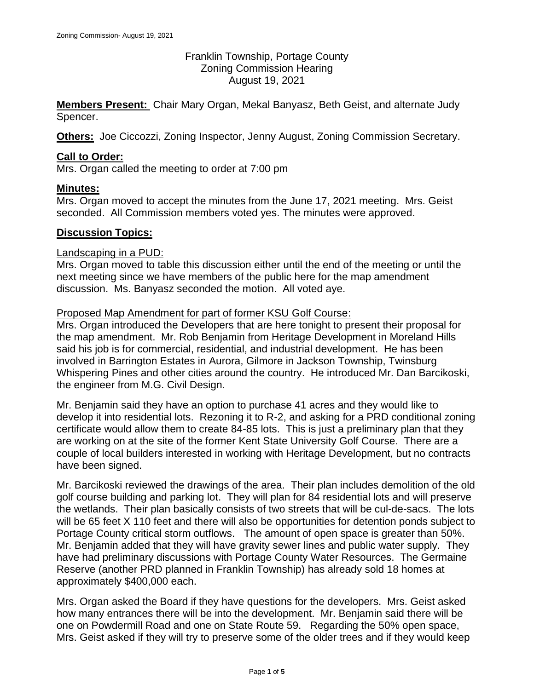Franklin Township, Portage County Zoning Commission Hearing August 19, 2021

**Members Present:** Chair Mary Organ, Mekal Banyasz, Beth Geist, and alternate Judy Spencer.

**Others:** Joe Ciccozzi, Zoning Inspector, Jenny August, Zoning Commission Secretary.

## **Call to Order:**

Mrs. Organ called the meeting to order at 7:00 pm

### **Minutes:**

Mrs. Organ moved to accept the minutes from the June 17, 2021 meeting. Mrs. Geist seconded. All Commission members voted yes. The minutes were approved.

#### **Discussion Topics:**

#### Landscaping in a PUD:

Mrs. Organ moved to table this discussion either until the end of the meeting or until the next meeting since we have members of the public here for the map amendment discussion. Ms. Banyasz seconded the motion. All voted aye.

#### Proposed Map Amendment for part of former KSU Golf Course:

Mrs. Organ introduced the Developers that are here tonight to present their proposal for the map amendment. Mr. Rob Benjamin from Heritage Development in Moreland Hills said his job is for commercial, residential, and industrial development. He has been involved in Barrington Estates in Aurora, Gilmore in Jackson Township, Twinsburg Whispering Pines and other cities around the country. He introduced Mr. Dan Barcikoski, the engineer from M.G. Civil Design.

Mr. Benjamin said they have an option to purchase 41 acres and they would like to develop it into residential lots. Rezoning it to R-2, and asking for a PRD conditional zoning certificate would allow them to create 84-85 lots. This is just a preliminary plan that they are working on at the site of the former Kent State University Golf Course. There are a couple of local builders interested in working with Heritage Development, but no contracts have been signed.

Mr. Barcikoski reviewed the drawings of the area. Their plan includes demolition of the old golf course building and parking lot. They will plan for 84 residential lots and will preserve the wetlands. Their plan basically consists of two streets that will be cul-de-sacs. The lots will be 65 feet X 110 feet and there will also be opportunities for detention ponds subject to Portage County critical storm outflows. The amount of open space is greater than 50%. Mr. Benjamin added that they will have gravity sewer lines and public water supply. They have had preliminary discussions with Portage County Water Resources. The Germaine Reserve (another PRD planned in Franklin Township) has already sold 18 homes at approximately \$400,000 each.

Mrs. Organ asked the Board if they have questions for the developers. Mrs. Geist asked how many entrances there will be into the development. Mr. Benjamin said there will be one on Powdermill Road and one on State Route 59. Regarding the 50% open space, Mrs. Geist asked if they will try to preserve some of the older trees and if they would keep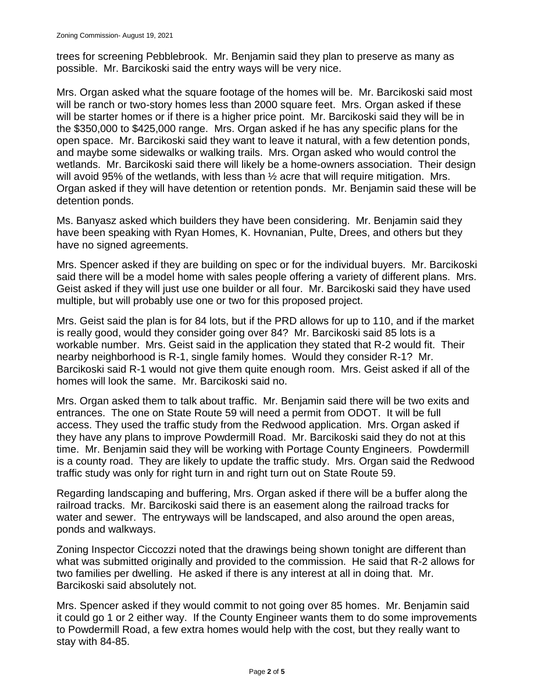trees for screening Pebblebrook. Mr. Benjamin said they plan to preserve as many as possible. Mr. Barcikoski said the entry ways will be very nice.

Mrs. Organ asked what the square footage of the homes will be. Mr. Barcikoski said most will be ranch or two-story homes less than 2000 square feet. Mrs. Organ asked if these will be starter homes or if there is a higher price point. Mr. Barcikoski said they will be in the \$350,000 to \$425,000 range. Mrs. Organ asked if he has any specific plans for the open space. Mr. Barcikoski said they want to leave it natural, with a few detention ponds, and maybe some sidewalks or walking trails. Mrs. Organ asked who would control the wetlands. Mr. Barcikoski said there will likely be a home-owners association. Their design will avoid 95% of the wetlands, with less than  $\frac{1}{2}$  acre that will require mitigation. Mrs. Organ asked if they will have detention or retention ponds. Mr. Benjamin said these will be detention ponds.

Ms. Banyasz asked which builders they have been considering. Mr. Benjamin said they have been speaking with Ryan Homes, K. Hovnanian, Pulte, Drees, and others but they have no signed agreements.

Mrs. Spencer asked if they are building on spec or for the individual buyers. Mr. Barcikoski said there will be a model home with sales people offering a variety of different plans. Mrs. Geist asked if they will just use one builder or all four. Mr. Barcikoski said they have used multiple, but will probably use one or two for this proposed project.

Mrs. Geist said the plan is for 84 lots, but if the PRD allows for up to 110, and if the market is really good, would they consider going over 84? Mr. Barcikoski said 85 lots is a workable number. Mrs. Geist said in the application they stated that R-2 would fit. Their nearby neighborhood is R-1, single family homes. Would they consider R-1? Mr. Barcikoski said R-1 would not give them quite enough room. Mrs. Geist asked if all of the homes will look the same. Mr. Barcikoski said no.

Mrs. Organ asked them to talk about traffic. Mr. Benjamin said there will be two exits and entrances. The one on State Route 59 will need a permit from ODOT. It will be full access. They used the traffic study from the Redwood application. Mrs. Organ asked if they have any plans to improve Powdermill Road. Mr. Barcikoski said they do not at this time. Mr. Benjamin said they will be working with Portage County Engineers. Powdermill is a county road. They are likely to update the traffic study. Mrs. Organ said the Redwood traffic study was only for right turn in and right turn out on State Route 59.

Regarding landscaping and buffering, Mrs. Organ asked if there will be a buffer along the railroad tracks. Mr. Barcikoski said there is an easement along the railroad tracks for water and sewer. The entryways will be landscaped, and also around the open areas, ponds and walkways.

Zoning Inspector Ciccozzi noted that the drawings being shown tonight are different than what was submitted originally and provided to the commission. He said that R-2 allows for two families per dwelling. He asked if there is any interest at all in doing that. Mr. Barcikoski said absolutely not.

Mrs. Spencer asked if they would commit to not going over 85 homes. Mr. Benjamin said it could go 1 or 2 either way. If the County Engineer wants them to do some improvements to Powdermill Road, a few extra homes would help with the cost, but they really want to stay with 84-85.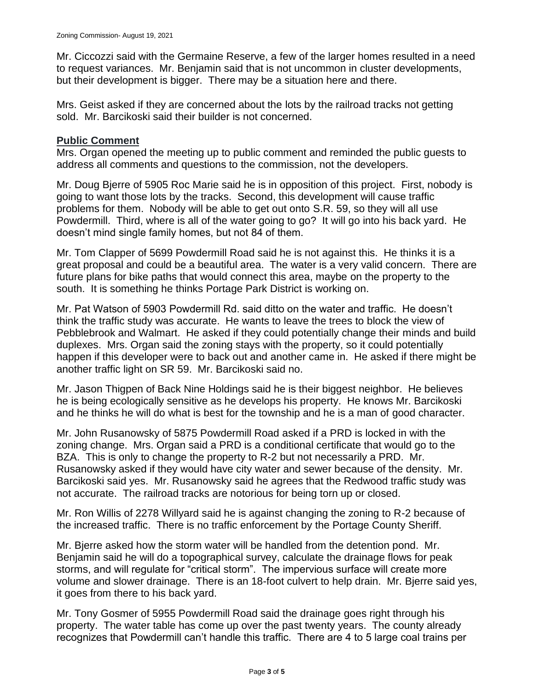Mr. Ciccozzi said with the Germaine Reserve, a few of the larger homes resulted in a need to request variances. Mr. Benjamin said that is not uncommon in cluster developments, but their development is bigger. There may be a situation here and there.

Mrs. Geist asked if they are concerned about the lots by the railroad tracks not getting sold. Mr. Barcikoski said their builder is not concerned.

### **Public Comment**

Mrs. Organ opened the meeting up to public comment and reminded the public guests to address all comments and questions to the commission, not the developers.

Mr. Doug Bjerre of 5905 Roc Marie said he is in opposition of this project. First, nobody is going to want those lots by the tracks. Second, this development will cause traffic problems for them. Nobody will be able to get out onto S.R. 59, so they will all use Powdermill. Third, where is all of the water going to go? It will go into his back yard. He doesn't mind single family homes, but not 84 of them.

Mr. Tom Clapper of 5699 Powdermill Road said he is not against this. He thinks it is a great proposal and could be a beautiful area. The water is a very valid concern. There are future plans for bike paths that would connect this area, maybe on the property to the south. It is something he thinks Portage Park District is working on.

Mr. Pat Watson of 5903 Powdermill Rd. said ditto on the water and traffic. He doesn't think the traffic study was accurate. He wants to leave the trees to block the view of Pebblebrook and Walmart. He asked if they could potentially change their minds and build duplexes. Mrs. Organ said the zoning stays with the property, so it could potentially happen if this developer were to back out and another came in. He asked if there might be another traffic light on SR 59. Mr. Barcikoski said no.

Mr. Jason Thigpen of Back Nine Holdings said he is their biggest neighbor. He believes he is being ecologically sensitive as he develops his property. He knows Mr. Barcikoski and he thinks he will do what is best for the township and he is a man of good character.

Mr. John Rusanowsky of 5875 Powdermill Road asked if a PRD is locked in with the zoning change. Mrs. Organ said a PRD is a conditional certificate that would go to the BZA. This is only to change the property to R-2 but not necessarily a PRD. Mr. Rusanowsky asked if they would have city water and sewer because of the density. Mr. Barcikoski said yes. Mr. Rusanowsky said he agrees that the Redwood traffic study was not accurate. The railroad tracks are notorious for being torn up or closed.

Mr. Ron Willis of 2278 Willyard said he is against changing the zoning to R-2 because of the increased traffic. There is no traffic enforcement by the Portage County Sheriff.

Mr. Bjerre asked how the storm water will be handled from the detention pond. Mr. Benjamin said he will do a topographical survey, calculate the drainage flows for peak storms, and will regulate for "critical storm". The impervious surface will create more volume and slower drainage. There is an 18-foot culvert to help drain. Mr. Bjerre said yes, it goes from there to his back yard.

Mr. Tony Gosmer of 5955 Powdermill Road said the drainage goes right through his property. The water table has come up over the past twenty years. The county already recognizes that Powdermill can't handle this traffic. There are 4 to 5 large coal trains per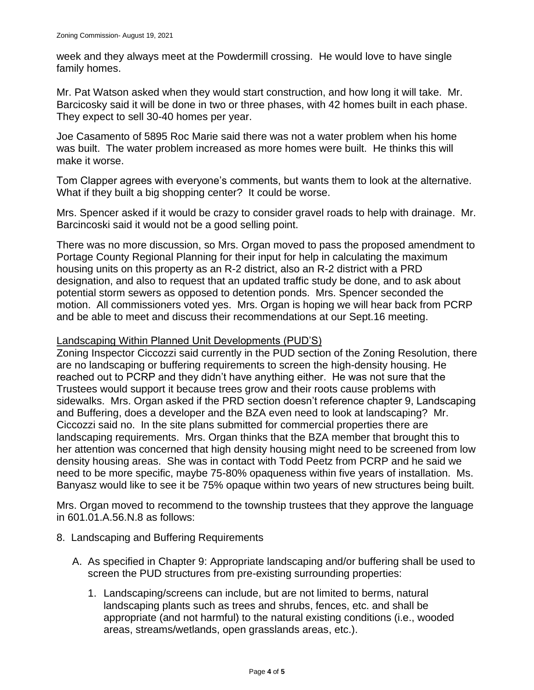week and they always meet at the Powdermill crossing. He would love to have single family homes.

Mr. Pat Watson asked when they would start construction, and how long it will take. Mr. Barcicosky said it will be done in two or three phases, with 42 homes built in each phase. They expect to sell 30-40 homes per year.

Joe Casamento of 5895 Roc Marie said there was not a water problem when his home was built. The water problem increased as more homes were built. He thinks this will make it worse.

Tom Clapper agrees with everyone's comments, but wants them to look at the alternative. What if they built a big shopping center? It could be worse.

Mrs. Spencer asked if it would be crazy to consider gravel roads to help with drainage. Mr. Barcincoski said it would not be a good selling point.

There was no more discussion, so Mrs. Organ moved to pass the proposed amendment to Portage County Regional Planning for their input for help in calculating the maximum housing units on this property as an R-2 district, also an R-2 district with a PRD designation, and also to request that an updated traffic study be done, and to ask about potential storm sewers as opposed to detention ponds. Mrs. Spencer seconded the motion. All commissioners voted yes. Mrs. Organ is hoping we will hear back from PCRP and be able to meet and discuss their recommendations at our Sept.16 meeting.

#### Landscaping Within Planned Unit Developments (PUD'S)

Zoning Inspector Ciccozzi said currently in the PUD section of the Zoning Resolution, there are no landscaping or buffering requirements to screen the high-density housing. He reached out to PCRP and they didn't have anything either. He was not sure that the Trustees would support it because trees grow and their roots cause problems with sidewalks. Mrs. Organ asked if the PRD section doesn't reference chapter 9, Landscaping and Buffering, does a developer and the BZA even need to look at landscaping? Mr. Ciccozzi said no. In the site plans submitted for commercial properties there are landscaping requirements. Mrs. Organ thinks that the BZA member that brought this to her attention was concerned that high density housing might need to be screened from low density housing areas. She was in contact with Todd Peetz from PCRP and he said we need to be more specific, maybe 75-80% opaqueness within five years of installation. Ms. Banyasz would like to see it be 75% opaque within two years of new structures being built.

Mrs. Organ moved to recommend to the township trustees that they approve the language in 601.01.A.56.N.8 as follows:

- 8. Landscaping and Buffering Requirements
	- A. As specified in Chapter 9: Appropriate landscaping and/or buffering shall be used to screen the PUD structures from pre-existing surrounding properties:
		- 1. Landscaping/screens can include, but are not limited to berms, natural landscaping plants such as trees and shrubs, fences, etc. and shall be appropriate (and not harmful) to the natural existing conditions (i.e., wooded areas, streams/wetlands, open grasslands areas, etc.).